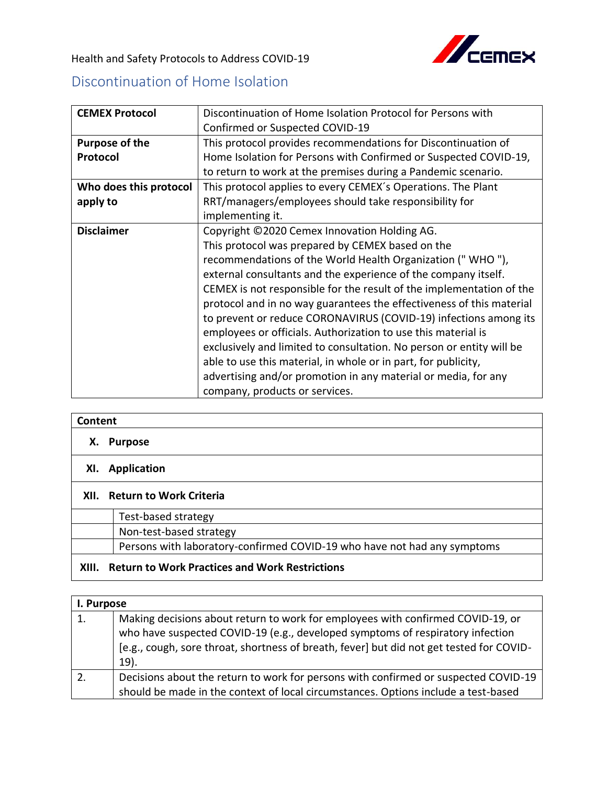

Health and Safety Protocols to Address COVID-19

## Discontinuation of Home Isolation

| <b>CEMEX Protocol</b>  | Discontinuation of Home Isolation Protocol for Persons with          |
|------------------------|----------------------------------------------------------------------|
|                        | Confirmed or Suspected COVID-19                                      |
| Purpose of the         | This protocol provides recommendations for Discontinuation of        |
| Protocol               | Home Isolation for Persons with Confirmed or Suspected COVID-19,     |
|                        | to return to work at the premises during a Pandemic scenario.        |
| Who does this protocol | This protocol applies to every CEMEX's Operations. The Plant         |
| apply to               | RRT/managers/employees should take responsibility for                |
|                        | implementing it.                                                     |
| <b>Disclaimer</b>      | Copyright ©2020 Cemex Innovation Holding AG.                         |
|                        | This protocol was prepared by CEMEX based on the                     |
|                        | recommendations of the World Health Organization ("WHO"),            |
|                        | external consultants and the experience of the company itself.       |
|                        | CEMEX is not responsible for the result of the implementation of the |
|                        | protocol and in no way guarantees the effectiveness of this material |
|                        | to prevent or reduce CORONAVIRUS (COVID-19) infections among its     |
|                        | employees or officials. Authorization to use this material is        |
|                        | exclusively and limited to consultation. No person or entity will be |
|                        | able to use this material, in whole or in part, for publicity,       |
|                        | advertising and/or promotion in any material or media, for any       |
|                        | company, products or services.                                       |

| Content                                |                                                                          |
|----------------------------------------|--------------------------------------------------------------------------|
| х.                                     | <b>Purpose</b>                                                           |
| XI.                                    | <b>Application</b>                                                       |
| <b>Return to Work Criteria</b><br>XII. |                                                                          |
|                                        | Test-based strategy                                                      |
|                                        | Non-test-based strategy                                                  |
|                                        | Persons with laboratory-confirmed COVID-19 who have not had any symptoms |
| XIII.                                  | <b>Return to Work Practices and Work Restrictions</b>                    |

|    | I. Purpose                                                                                                                                                                                                                                                               |  |
|----|--------------------------------------------------------------------------------------------------------------------------------------------------------------------------------------------------------------------------------------------------------------------------|--|
| 1. | Making decisions about return to work for employees with confirmed COVID-19, or<br>who have suspected COVID-19 (e.g., developed symptoms of respiratory infection<br>[e.g., cough, sore throat, shortness of breath, fever] but did not get tested for COVID-<br>$19$ ). |  |
| 2. | Decisions about the return to work for persons with confirmed or suspected COVID-19<br>should be made in the context of local circumstances. Options include a test-based                                                                                                |  |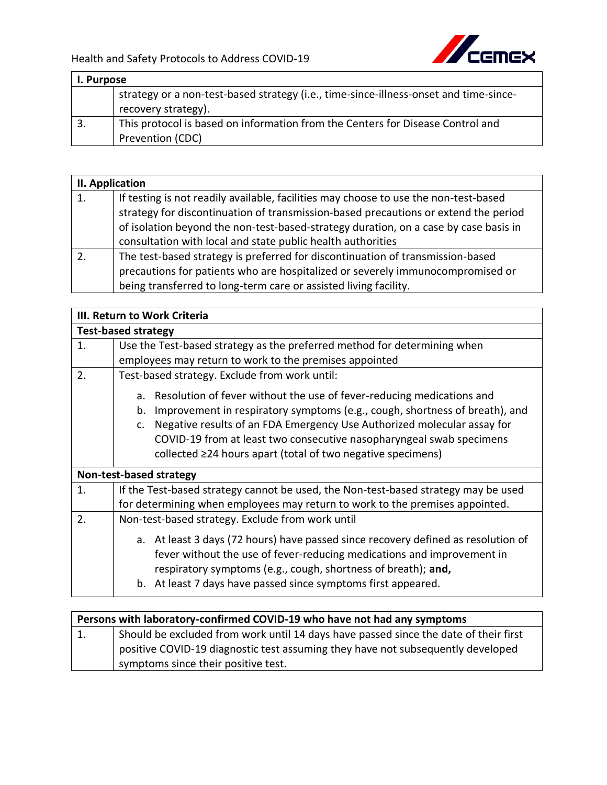

| I. Purpose |                                                                                       |
|------------|---------------------------------------------------------------------------------------|
|            | strategy or a non-test-based strategy (i.e., time-since-illness-onset and time-since- |
|            | recovery strategy).                                                                   |
| 3.         | This protocol is based on information from the Centers for Disease Control and        |
|            | Prevention (CDC)                                                                      |

|    | II. Application                                                                                                                                                                                                                                                                                                                    |  |
|----|------------------------------------------------------------------------------------------------------------------------------------------------------------------------------------------------------------------------------------------------------------------------------------------------------------------------------------|--|
| 1. | If testing is not readily available, facilities may choose to use the non-test-based<br>strategy for discontinuation of transmission-based precautions or extend the period<br>of isolation beyond the non-test-based-strategy duration, on a case by case basis in<br>consultation with local and state public health authorities |  |
|    | The test-based strategy is preferred for discontinuation of transmission-based<br>precautions for patients who are hospitalized or severely immunocompromised or<br>being transferred to long-term care or assisted living facility.                                                                                               |  |

|    | III. Return to Work Criteria                                                                                                                                                                                                                                                                  |
|----|-----------------------------------------------------------------------------------------------------------------------------------------------------------------------------------------------------------------------------------------------------------------------------------------------|
|    | <b>Test-based strategy</b>                                                                                                                                                                                                                                                                    |
| 1. | Use the Test-based strategy as the preferred method for determining when                                                                                                                                                                                                                      |
|    | employees may return to work to the premises appointed                                                                                                                                                                                                                                        |
| 2. | Test-based strategy. Exclude from work until:                                                                                                                                                                                                                                                 |
|    | Resolution of fever without the use of fever-reducing medications and<br>a.                                                                                                                                                                                                                   |
|    | Improvement in respiratory symptoms (e.g., cough, shortness of breath), and<br>b.                                                                                                                                                                                                             |
|    | Negative results of an FDA Emergency Use Authorized molecular assay for<br>c.                                                                                                                                                                                                                 |
|    | COVID-19 from at least two consecutive nasopharyngeal swab specimens                                                                                                                                                                                                                          |
|    | collected ≥24 hours apart (total of two negative specimens)                                                                                                                                                                                                                                   |
|    | Non-test-based strategy                                                                                                                                                                                                                                                                       |
| 1. | If the Test-based strategy cannot be used, the Non-test-based strategy may be used                                                                                                                                                                                                            |
|    | for determining when employees may return to work to the premises appointed.                                                                                                                                                                                                                  |
| 2. | Non-test-based strategy. Exclude from work until                                                                                                                                                                                                                                              |
|    | a. At least 3 days (72 hours) have passed since recovery defined as resolution of<br>fever without the use of fever-reducing medications and improvement in<br>respiratory symptoms (e.g., cough, shortness of breath); and,<br>b. At least 7 days have passed since symptoms first appeared. |

| Persons with laboratory-confirmed COVID-19 who have not had any symptoms |                                                                                      |
|--------------------------------------------------------------------------|--------------------------------------------------------------------------------------|
| 1.                                                                       | Should be excluded from work until 14 days have passed since the date of their first |
|                                                                          | positive COVID-19 diagnostic test assuming they have not subsequently developed      |
|                                                                          | symptoms since their positive test.                                                  |